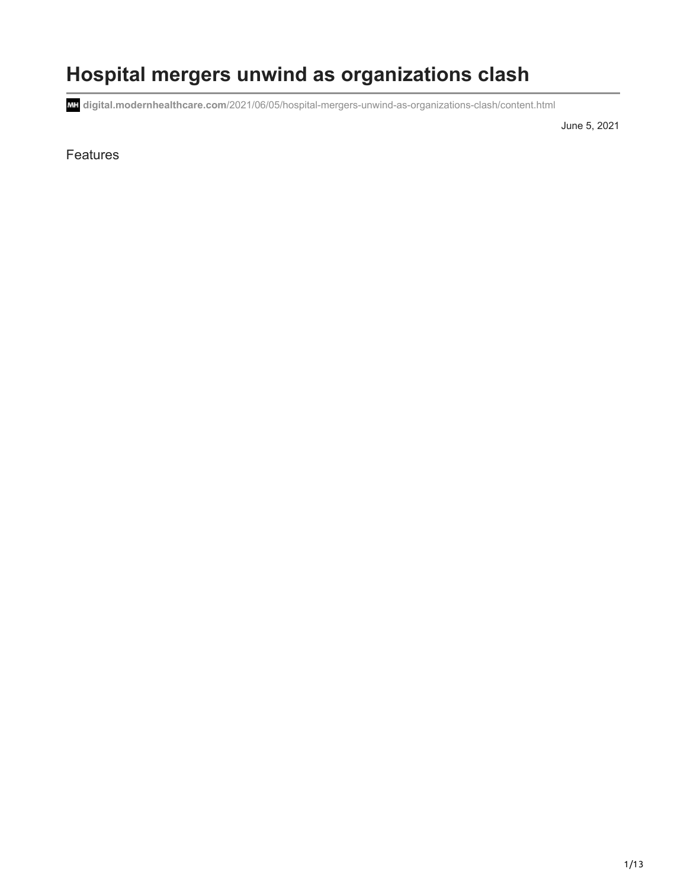# **Hospital mergers unwind as organizations clash**

**digital.modernhealthcare.com**[/2021/06/05/hospital-mergers-unwind-as-organizations-clash/content.html](https://digital.modernhealthcare.com/2021/06/05/hospital-mergers-unwind-as-organizations-clash/content.html)

June 5, 2021

#### Features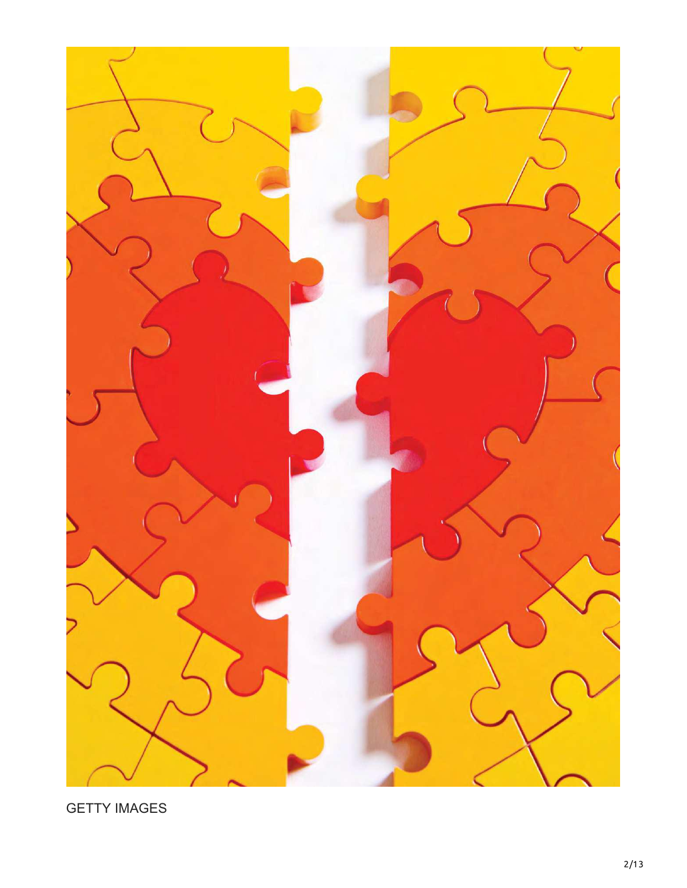

GETTY IMAGES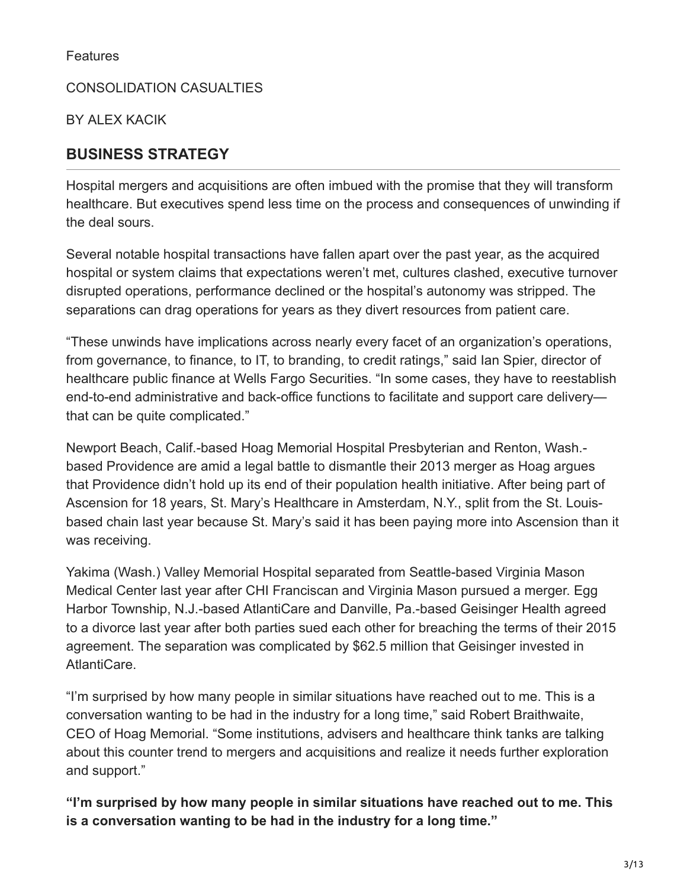**Features** 

CONSOLIDATION CASUALTIES

BY ALEX KACIK

### **BUSINESS STRATEGY**

Hospital mergers and acquisitions are often imbued with the promise that they will transform healthcare. But executives spend less time on the process and consequences of unwinding if the deal sours.

Several notable hospital transactions have fallen apart over the past year, as the acquired hospital or system claims that expectations weren't met, cultures clashed, executive turnover disrupted operations, performance declined or the hospital's autonomy was stripped. The separations can drag operations for years as they divert resources from patient care.

"These unwinds have implications across nearly every facet of an organization's operations, from governance, to finance, to IT, to branding, to credit ratings," said Ian Spier, director of healthcare public finance at Wells Fargo Securities. "In some cases, they have to reestablish end-to-end administrative and back-office functions to facilitate and support care delivery that can be quite complicated."

Newport Beach, Calif.-based Hoag Memorial Hospital Presbyterian and Renton, Wash. based Providence are amid a legal battle to dismantle their 2013 merger as Hoag argues that Providence didn't hold up its end of their population health initiative. After being part of Ascension for 18 years, St. Mary's Healthcare in Amsterdam, N.Y., split from the St. Louisbased chain last year because St. Mary's said it has been paying more into Ascension than it was receiving.

Yakima (Wash.) Valley Memorial Hospital separated from Seattle-based Virginia Mason Medical Center last year after CHI Franciscan and Virginia Mason pursued a merger. Egg Harbor Township, N.J.-based AtlantiCare and Danville, Pa.-based Geisinger Health agreed to a divorce last year after both parties sued each other for breaching the terms of their 2015 agreement. The separation was complicated by \$62.5 million that Geisinger invested in AtlantiCare.

"I'm surprised by how many people in similar situations have reached out to me. This is a conversation wanting to be had in the industry for a long time," said Robert Braithwaite, CEO of Hoag Memorial. "Some institutions, advisers and healthcare think tanks are talking about this counter trend to mergers and acquisitions and realize it needs further exploration and support."

**"I'm surprised by how many people in similar situations have reached out to me. This is a conversation wanting to be had in the industry for a long time."**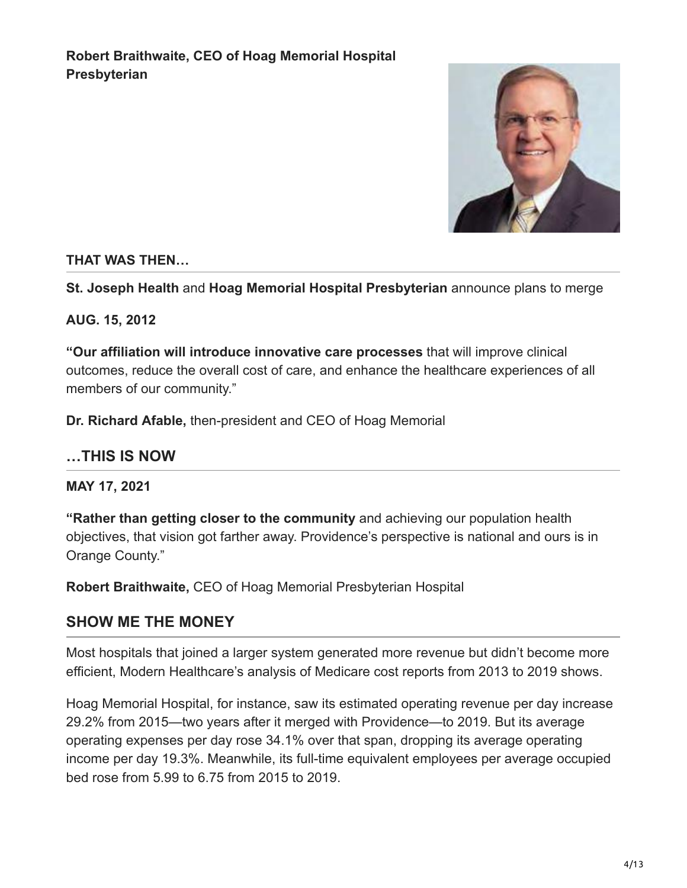

#### **THAT WAS THEN…**

**St. Joseph Health** and **Hoag Memorial Hospital Presbyterian** announce plans to merge

#### **AUG. 15, 2012**

**"Our affiliation will introduce innovative care processes** that will improve clinical outcomes, reduce the overall cost of care, and enhance the healthcare experiences of all members of our community."

**Dr. Richard Afable,** then-president and CEO of Hoag Memorial

#### **…THIS IS NOW**

**MAY 17, 2021**

**"Rather than getting closer to the community** and achieving our population health objectives, that vision got farther away. Providence's perspective is national and ours is in Orange County."

**Robert Braithwaite,** CEO of Hoag Memorial Presbyterian Hospital

#### **SHOW ME THE MONEY**

Most hospitals that joined a larger system generated more revenue but didn't become more efficient, Modern Healthcare's analysis of Medicare cost reports from 2013 to 2019 shows.

Hoag Memorial Hospital, for instance, saw its estimated operating revenue per day increase 29.2% from 2015—two years after it merged with Providence—to 2019. But its average operating expenses per day rose 34.1% over that span, dropping its average operating income per day 19.3%. Meanwhile, its full-time equivalent employees per average occupied bed rose from 5.99 to 6.75 from 2015 to 2019.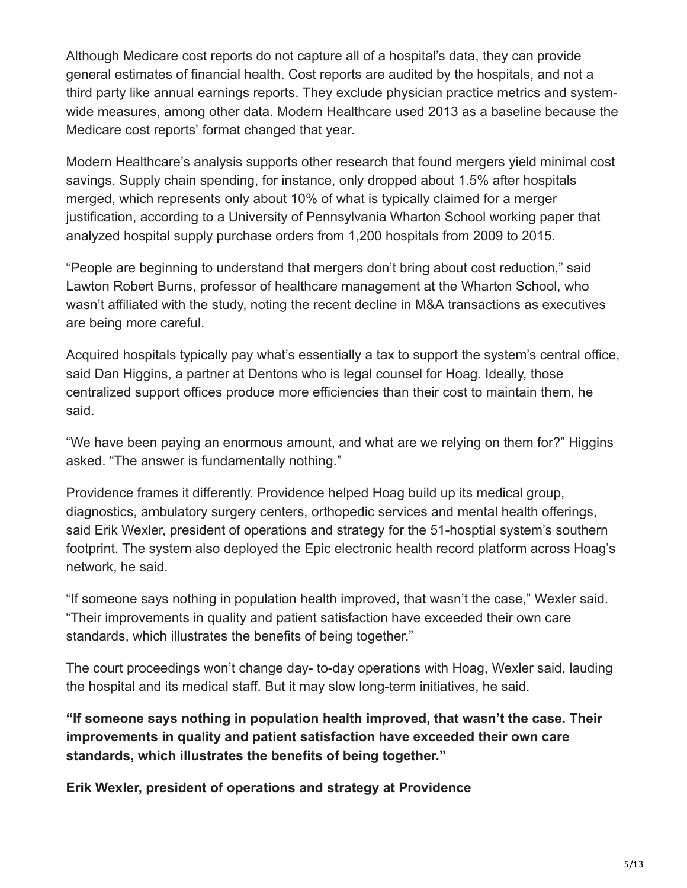Although Medicare cost reports do not capture all of a hospital's data, they can provide general estimates of financial health. Cost reports are audited by the hospitals, and not a third party like annual earnings reports. They exclude physician practice metrics and systemwide measures, among other data. Modern Healthcare used 2013 as a baseline because the Medicare cost reports' format changed that year.

Modern Healthcare's analysis supports other research that found mergers yield minimal cost savings. Supply chain spending, for instance, only dropped about 1.5% after hospitals merged, which represents only about 10% of what is typically claimed for a merger justification, according to a University of Pennsylvania Wharton School working paper that analyzed hospital supply purchase orders from 1,200 hospitals from 2009 to 2015.

"People are beginning to understand that mergers don't bring about cost reduction," said Lawton Robert Burns, professor of healthcare management at the Wharton School, who wasn't affiliated with the study, noting the recent decline in M&A transactions as executives are being more careful.

Acquired hospitals typically pay what's essentially a tax to support the system's central office, said Dan Higgins, a partner at Dentons who is legal counsel for Hoag. Ideally, those centralized support offices produce more efficiencies than their cost to maintain them, he said.

"We have been paying an enormous amount, and what are we relying on them for?" Higgins asked. "The answer is fundamentally nothing."

Providence frames it differently. Providence helped Hoag build up its medical group, diagnostics, ambulatory surgery centers, orthopedic services and mental health offerings, said Erik Wexler, president of operations and strategy for the 51-hosptial system's southern footprint. The system also deployed the Epic electronic health record platform across Hoag's network, he said.

"If someone says nothing in population health improved, that wasn't the case," Wexler said. "Their improvements in quality and patient satisfaction have exceeded their own care standards, which illustrates the benefits of being together."

The court proceedings won't change day- to-day operations with Hoag, Wexler said, lauding the hospital and its medical staff. But it may slow long-term initiatives, he said.

**"If someone says nothing in population health improved, that wasn't the case. Their improvements in quality and patient satisfaction have exceeded their own care standards, which illustrates the benefits of being together."**

**Erik Wexler, president of operations and strategy at Providence**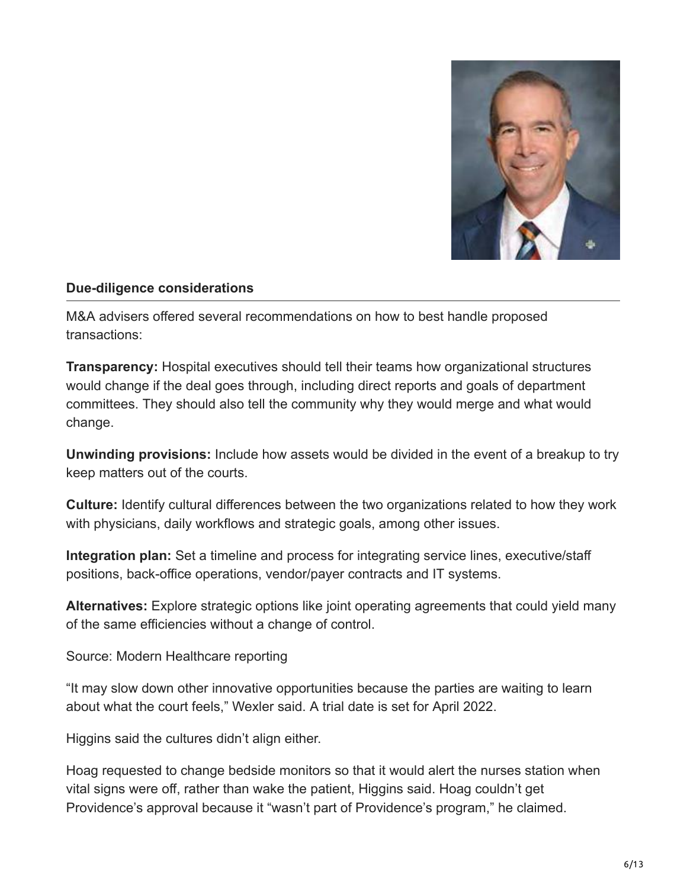

#### **Due-diligence considerations**

M&A advisers offered several recommendations on how to best handle proposed transactions:

**Transparency:** Hospital executives should tell their teams how organizational structures would change if the deal goes through, including direct reports and goals of department committees. They should also tell the community why they would merge and what would change.

**Unwinding provisions:** Include how assets would be divided in the event of a breakup to try keep matters out of the courts.

**Culture:** Identify cultural differences between the two organizations related to how they work with physicians, daily workflows and strategic goals, among other issues.

**Integration plan:** Set a timeline and process for integrating service lines, executive/staff positions, back-office operations, vendor/payer contracts and IT systems.

**Alternatives:** Explore strategic options like joint operating agreements that could yield many of the same efficiencies without a change of control.

Source: Modern Healthcare reporting

"It may slow down other innovative opportunities because the parties are waiting to learn about what the court feels," Wexler said. A trial date is set for April 2022.

Higgins said the cultures didn't align either.

Hoag requested to change bedside monitors so that it would alert the nurses station when vital signs were off, rather than wake the patient, Higgins said. Hoag couldn't get Providence's approval because it "wasn't part of Providence's program," he claimed.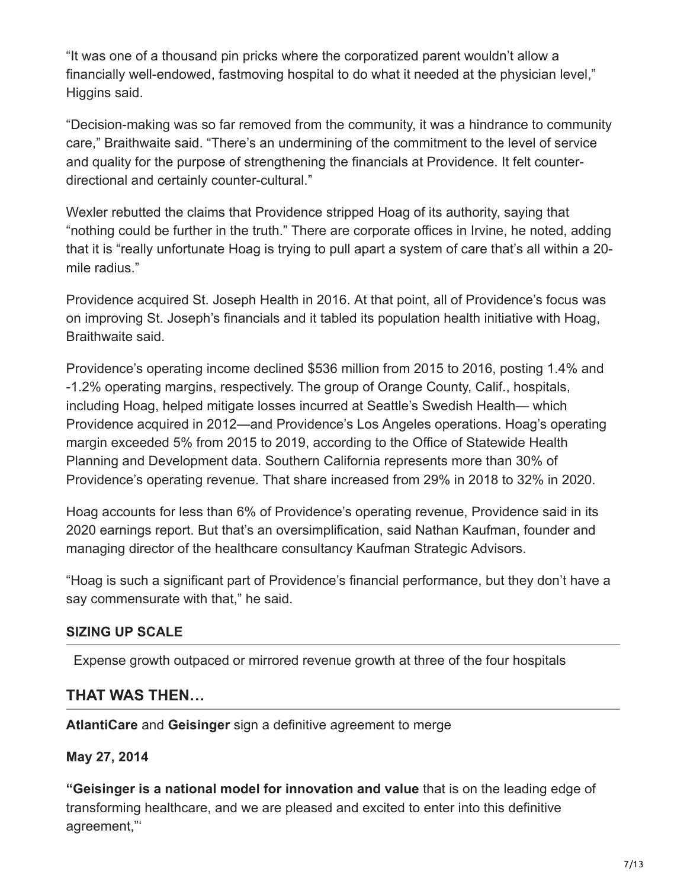"It was one of a thousand pin pricks where the corporatized parent wouldn't allow a financially well-endowed, fastmoving hospital to do what it needed at the physician level," Higgins said.

"Decision-making was so far removed from the community, it was a hindrance to community care," Braithwaite said. "There's an undermining of the commitment to the level of service and quality for the purpose of strengthening the financials at Providence. It felt counterdirectional and certainly counter-cultural."

Wexler rebutted the claims that Providence stripped Hoag of its authority, saying that "nothing could be further in the truth." There are corporate offices in Irvine, he noted, adding that it is "really unfortunate Hoag is trying to pull apart a system of care that's all within a 20 mile radius."

Providence acquired St. Joseph Health in 2016. At that point, all of Providence's focus was on improving St. Joseph's financials and it tabled its population health initiative with Hoag, Braithwaite said.

Providence's operating income declined \$536 million from 2015 to 2016, posting 1.4% and -1.2% operating margins, respectively. The group of Orange County, Calif., hospitals, including Hoag, helped mitigate losses incurred at Seattle's Swedish Health— which Providence acquired in 2012—and Providence's Los Angeles operations. Hoag's operating margin exceeded 5% from 2015 to 2019, according to the Office of Statewide Health Planning and Development data. Southern California represents more than 30% of Providence's operating revenue. That share increased from 29% in 2018 to 32% in 2020.

Hoag accounts for less than 6% of Providence's operating revenue, Providence said in its 2020 earnings report. But that's an oversimplification, said Nathan Kaufman, founder and managing director of the healthcare consultancy Kaufman Strategic Advisors.

"Hoag is such a significant part of Providence's financial performance, but they don't have a say commensurate with that," he said.

#### **SIZING UP SCALE**

Expense growth outpaced or mirrored revenue growth at three of the four hospitals

### **THAT WAS THEN…**

**AtlantiCare** and **Geisinger** sign a definitive agreement to merge

### **May 27, 2014**

**"Geisinger is a national model for innovation and value** that is on the leading edge of transforming healthcare, and we are pleased and excited to enter into this definitive agreement,"'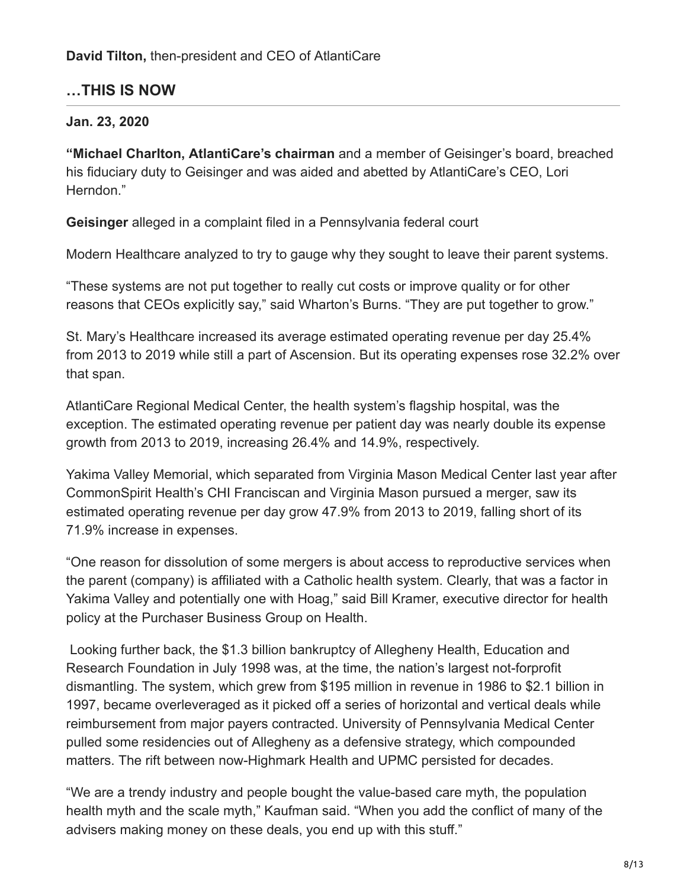### **…THIS IS NOW**

#### **Jan. 23, 2020**

**"Michael Charlton, AtlantiCare's chairman** and a member of Geisinger's board, breached his fiduciary duty to Geisinger and was aided and abetted by AtlantiCare's CEO, Lori Herndon."

**Geisinger** alleged in a complaint filed in a Pennsylvania federal court

Modern Healthcare analyzed to try to gauge why they sought to leave their parent systems.

"These systems are not put together to really cut costs or improve quality or for other reasons that CEOs explicitly say," said Wharton's Burns. "They are put together to grow."

St. Mary's Healthcare increased its average estimated operating revenue per day 25.4% from 2013 to 2019 while still a part of Ascension. But its operating expenses rose 32.2% over that span.

AtlantiCare Regional Medical Center, the health system's flagship hospital, was the exception. The estimated operating revenue per patient day was nearly double its expense growth from 2013 to 2019, increasing 26.4% and 14.9%, respectively.

Yakima Valley Memorial, which separated from Virginia Mason Medical Center last year after CommonSpirit Health's CHI Franciscan and Virginia Mason pursued a merger, saw its estimated operating revenue per day grow 47.9% from 2013 to 2019, falling short of its 71.9% increase in expenses.

"One reason for dissolution of some mergers is about access to reproductive services when the parent (company) is affiliated with a Catholic health system. Clearly, that was a factor in Yakima Valley and potentially one with Hoag," said Bill Kramer, executive director for health policy at the Purchaser Business Group on Health.

 Looking further back, the \$1.3 billion bankruptcy of Allegheny Health, Education and Research Foundation in July 1998 was, at the time, the nation's largest not-forprofit dismantling. The system, which grew from \$195 million in revenue in 1986 to \$2.1 billion in 1997, became overleveraged as it picked off a series of horizontal and vertical deals while reimbursement from major payers contracted. University of Pennsylvania Medical Center pulled some residencies out of Allegheny as a defensive strategy, which compounded matters. The rift between now-Highmark Health and UPMC persisted for decades.

"We are a trendy industry and people bought the value-based care myth, the population health myth and the scale myth," Kaufman said. "When you add the conflict of many of the advisers making money on these deals, you end up with this stuff."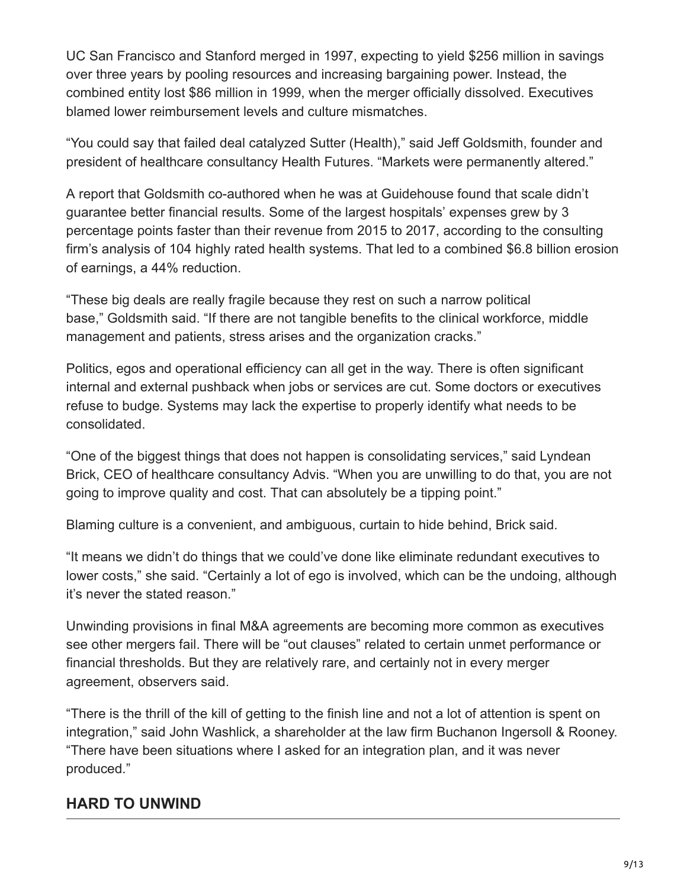UC San Francisco and Stanford merged in 1997, expecting to yield \$256 million in savings over three years by pooling resources and increasing bargaining power. Instead, the combined entity lost \$86 million in 1999, when the merger officially dissolved. Executives blamed lower reimbursement levels and culture mismatches.

"You could say that failed deal catalyzed Sutter (Health)," said Jeff Goldsmith, founder and president of healthcare consultancy Health Futures. "Markets were permanently altered."

A report that Goldsmith co-authored when he was at Guidehouse found that scale didn't guarantee better financial results. Some of the largest hospitals' expenses grew by 3 percentage points faster than their revenue from 2015 to 2017, according to the consulting firm's analysis of 104 highly rated health systems. That led to a combined \$6.8 billion erosion of earnings, a 44% reduction.

"These big deals are really fragile because they rest on such a narrow political base," Goldsmith said. "If there are not tangible benefits to the clinical workforce, middle management and patients, stress arises and the organization cracks."

Politics, egos and operational efficiency can all get in the way. There is often significant internal and external pushback when jobs or services are cut. Some doctors or executives refuse to budge. Systems may lack the expertise to properly identify what needs to be consolidated.

"One of the biggest things that does not happen is consolidating services," said Lyndean Brick, CEO of healthcare consultancy Advis. "When you are unwilling to do that, you are not going to improve quality and cost. That can absolutely be a tipping point."

Blaming culture is a convenient, and ambiguous, curtain to hide behind, Brick said.

"It means we didn't do things that we could've done like eliminate redundant executives to lower costs," she said. "Certainly a lot of ego is involved, which can be the undoing, although it's never the stated reason."

Unwinding provisions in final M&A agreements are becoming more common as executives see other mergers fail. There will be "out clauses" related to certain unmet performance or financial thresholds. But they are relatively rare, and certainly not in every merger agreement, observers said.

"There is the thrill of the kill of getting to the finish line and not a lot of attention is spent on integration," said John Washlick, a shareholder at the law firm Buchanon Ingersoll & Rooney. "There have been situations where I asked for an integration plan, and it was never produced."

# **HARD TO UNWIND**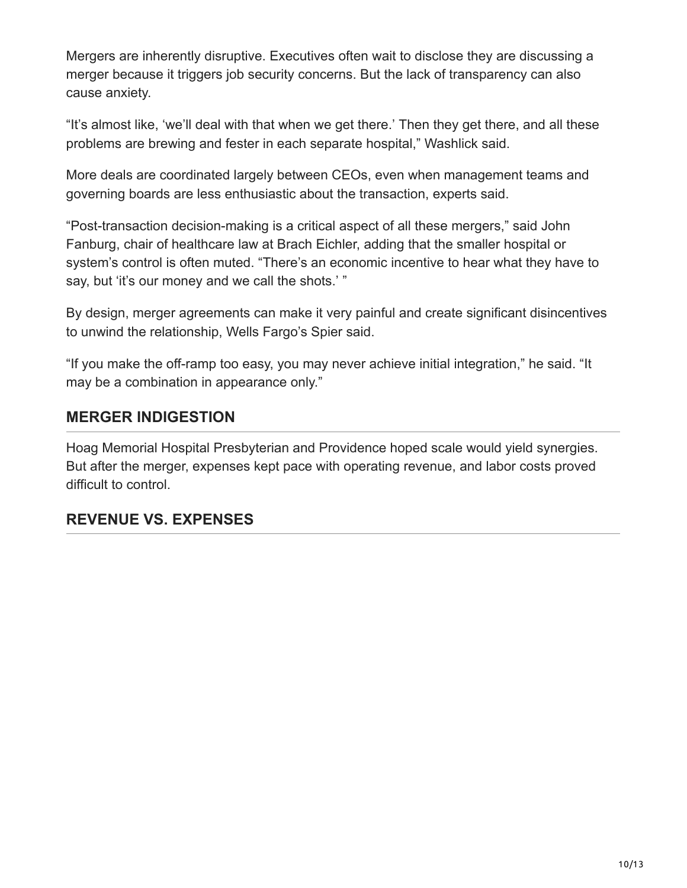Mergers are inherently disruptive. Executives often wait to disclose they are discussing a merger because it triggers job security concerns. But the lack of transparency can also cause anxiety.

"It's almost like, 'we'll deal with that when we get there.' Then they get there, and all these problems are brewing and fester in each separate hospital," Washlick said.

More deals are coordinated largely between CEOs, even when management teams and governing boards are less enthusiastic about the transaction, experts said.

"Post-transaction decision-making is a critical aspect of all these mergers," said John Fanburg, chair of healthcare law at Brach Eichler, adding that the smaller hospital or system's control is often muted. "There's an economic incentive to hear what they have to say, but 'it's our money and we call the shots.' "

By design, merger agreements can make it very painful and create significant disincentives to unwind the relationship, Wells Fargo's Spier said.

"If you make the off-ramp too easy, you may never achieve initial integration," he said. "It may be a combination in appearance only."

### **MERGER INDIGESTION**

Hoag Memorial Hospital Presbyterian and Providence hoped scale would yield synergies. But after the merger, expenses kept pace with operating revenue, and labor costs proved difficult to control.

### **REVENUE VS. EXPENSES**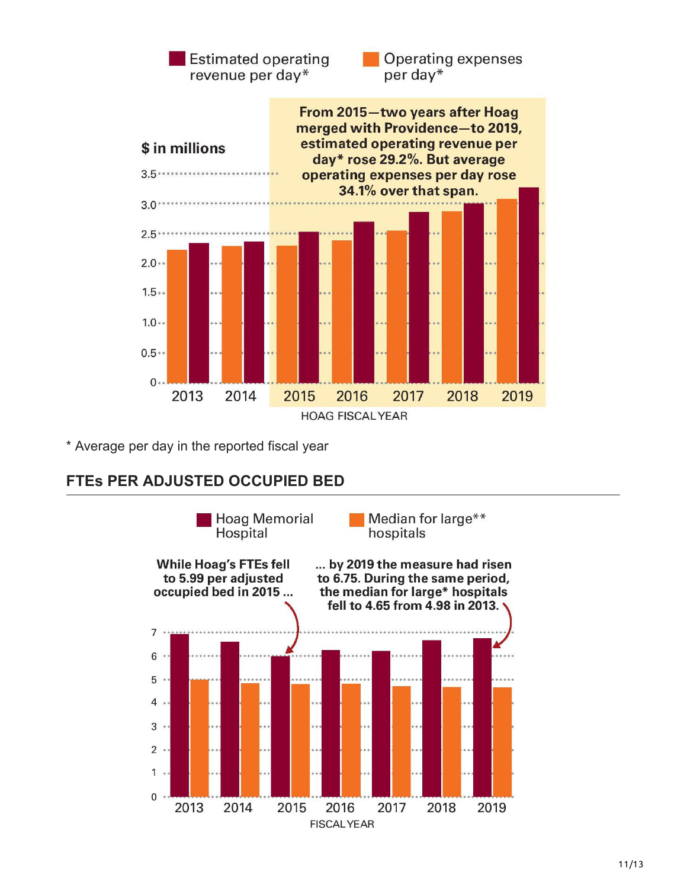

\* Average per day in the reported fiscal year

### **FTEs PER ADJUSTED OCCUPIED BED**

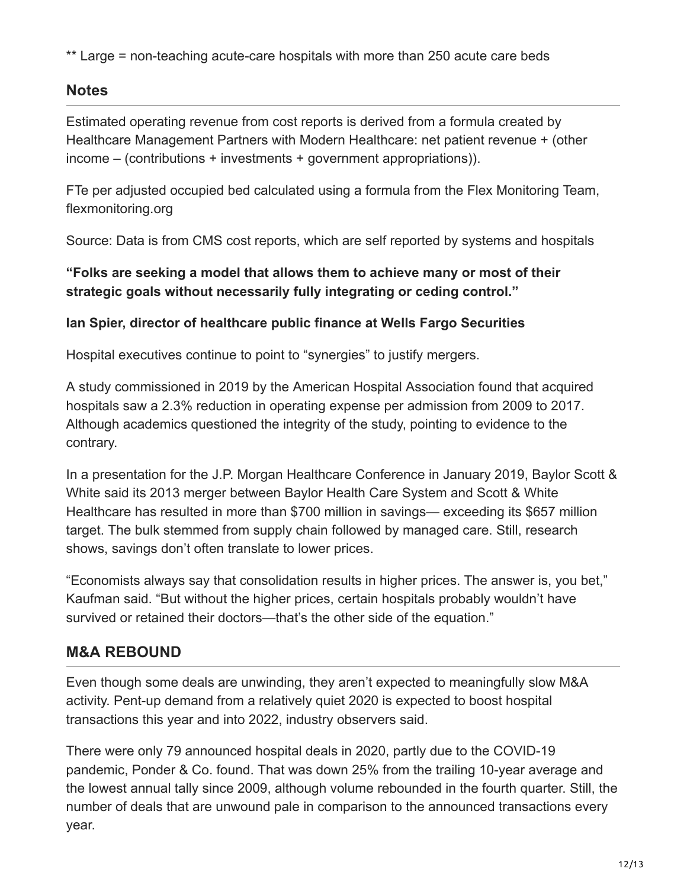\*\* Large = non-teaching acute-care hospitals with more than 250 acute care beds

### **Notes**

Estimated operating revenue from cost reports is derived from a formula created by Healthcare Management Partners with Modern Healthcare: net patient revenue + (other income – (contributions + investments + government appropriations)).

FTe per adjusted occupied bed calculated using a formula from the Flex Monitoring Team, flexmonitoring.org

Source: Data is from CMS cost reports, which are self reported by systems and hospitals

### **"Folks are seeking a model that allows them to achieve many or most of their strategic goals without necessarily fully integrating or ceding control."**

### **Ian Spier, director of healthcare public finance at Wells Fargo Securities**

Hospital executives continue to point to "synergies" to justify mergers.

A study commissioned in 2019 by the American Hospital Association found that acquired hospitals saw a 2.3% reduction in operating expense per admission from 2009 to 2017. Although academics questioned the integrity of the study, pointing to evidence to the contrary.

In a presentation for the J.P. Morgan Healthcare Conference in January 2019, Baylor Scott & White said its 2013 merger between Baylor Health Care System and Scott & White Healthcare has resulted in more than \$700 million in savings— exceeding its \$657 million target. The bulk stemmed from supply chain followed by managed care. Still, research shows, savings don't often translate to lower prices.

"Economists always say that consolidation results in higher prices. The answer is, you bet," Kaufman said. "But without the higher prices, certain hospitals probably wouldn't have survived or retained their doctors—that's the other side of the equation."

# **M&A REBOUND**

Even though some deals are unwinding, they aren't expected to meaningfully slow M&A activity. Pent-up demand from a relatively quiet 2020 is expected to boost hospital transactions this year and into 2022, industry observers said.

There were only 79 announced hospital deals in 2020, partly due to the COVID-19 pandemic, Ponder & Co. found. That was down 25% from the trailing 10-year average and the lowest annual tally since 2009, although volume rebounded in the fourth quarter. Still, the number of deals that are unwound pale in comparison to the announced transactions every year.